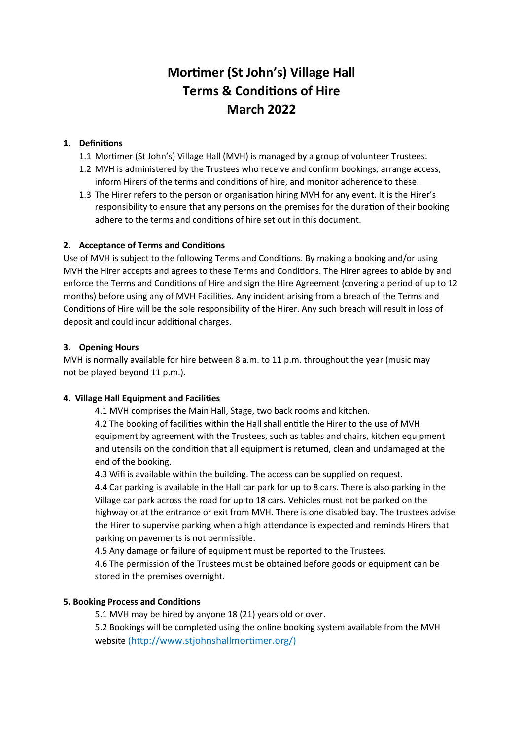# **Mortimer (St John's) Village Hall Terms & Conditions of Hire March 2022**

# **1. Definitions**

- 1.1 Mortimer (St John's) Village Hall (MVH) is managed by a group of volunteer Trustees.
- 1.2 MVH is administered by the Trustees who receive and confirm bookings, arrange access, inform Hirers of the terms and conditions of hire, and monitor adherence to these.
- 1.3 The Hirer refers to the person or organisation hiring MVH for any event. It is the Hirer's responsibility to ensure that any persons on the premises for the duration of their booking adhere to the terms and conditions of hire set out in this document.

# **2. Acceptance of Terms and Conditions**

Use of MVH is subject to the following Terms and Conditions. By making a booking and/or using MVH the Hirer accepts and agrees to these Terms and Conditions. The Hirer agrees to abide by and enforce the Terms and Conditions of Hire and sign the Hire Agreement (covering a period of up to 12 months) before using any of MVH Facilities. Any incident arising from a breach of the Terms and Conditions of Hire will be the sole responsibility of the Hirer. Any such breach will result in loss of deposit and could incur additional charges.

# **3. Opening Hours**

MVH is normally available for hire between 8 a.m. to 11 p.m. throughout the year (music may not be played beyond 11 p.m.).

# **4. Village Hall Equipment and Facilities**

4.1 MVH comprises the Main Hall, Stage, two back rooms and kitchen.

4.2 The booking of facilities within the Hall shall entitle the Hirer to the use of MVH equipment by agreement with the Trustees, such as tables and chairs, kitchen equipment and utensils on the condition that all equipment is returned, clean and undamaged at the end of the booking.

4.3 Wifi is available within the building. The access can be supplied on request.

4.4 Car parking is available in the Hall car park for up to 8 cars. There is also parking in the Village car park across the road for up to 18 cars. Vehicles must not be parked on the highway or at the entrance or exit from MVH. There is one disabled bay. The trustees advise the Hirer to supervise parking when a high attendance is expected and reminds Hirers that parking on pavements is not permissible.

4.5 Any damage or failure of equipment must be reported to the Trustees.

4.6 The permission of the Trustees must be obtained before goods or equipment can be stored in the premises overnight.

# **5. Booking Process and Conditions**

5.1 MVH may be hired by anyone 18 (21) years old or over.

5.2 Bookings will be completed using the online booking system available from the MVH website (http://www.stjohnshallmortimer.org/)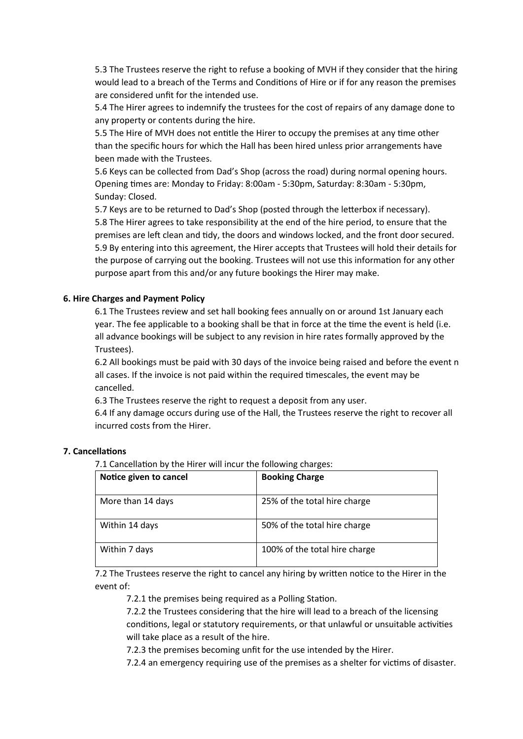5.3 The Trustees reserve the right to refuse a booking of MVH if they consider that the hiring would lead to a breach of the Terms and Conditions of Hire or if for any reason the premises are considered unfit for the intended use.

5.4 The Hirer agrees to indemnify the trustees for the cost of repairs of any damage done to any property or contents during the hire.

5.5 The Hire of MVH does not entitle the Hirer to occupy the premises at any time other than the specific hours for which the Hall has been hired unless prior arrangements have been made with the Trustees.

5.6 Keys can be collected from Dad's Shop (across the road) during normal opening hours. Opening times are: Monday to Friday: 8:00am - 5:30pm, Saturday: 8:30am - 5:30pm, Sunday: Closed.

5.7 Keys are to be returned to Dad's Shop (posted through the letterbox if necessary). 5.8 The Hirer agrees to take responsibility at the end of the hire period, to ensure that the premises are left clean and tidy, the doors and windows locked, and the front door secured. 5.9 By entering into this agreement, the Hirer accepts that Trustees will hold their details for the purpose of carrying out the booking. Trustees will not use this information for any other purpose apart from this and/or any future bookings the Hirer may make.

#### **6. Hire Charges and Payment Policy**

6.1 The Trustees review and set hall booking fees annually on or around 1st January each year. The fee applicable to a booking shall be that in force at the time the event is held (i.e. all advance bookings will be subject to any revision in hire rates formally approved by the Trustees).

6.2 All bookings must be paid with 30 days of the invoice being raised and before the event n all cases. If the invoice is not paid within the required timescales, the event may be cancelled.

6.3 The Trustees reserve the right to request a deposit from any user.

6.4 If any damage occurs during use of the Hall, the Trustees reserve the right to recover all incurred costs from the Hirer.

#### **7. Cancellations**

7.1 Cancellation by the Hirer will incur the following charges:

| Notice given to cancel | <b>Booking Charge</b>         |
|------------------------|-------------------------------|
| More than 14 days      | 25% of the total hire charge  |
| Within 14 days         | 50% of the total hire charge  |
| Within 7 days          | 100% of the total hire charge |

7.2 The Trustees reserve the right to cancel any hiring by written notice to the Hirer in the event of:

7.2.1 the premises being required as a Polling Station.

7.2.2 the Trustees considering that the hire will lead to a breach of the licensing conditions, legal or statutory requirements, or that unlawful or unsuitable activities will take place as a result of the hire.

7.2.3 the premises becoming unfit for the use intended by the Hirer.

7.2.4 an emergency requiring use of the premises as a shelter for victims of disaster.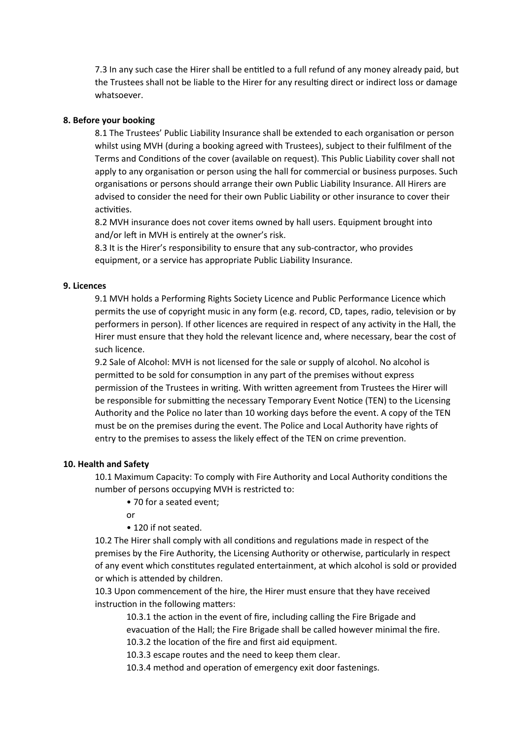7.3 In any such case the Hirer shall be entitled to a full refund of any money already paid, but the Trustees shall not be liable to the Hirer for any resulting direct or indirect loss or damage whatsoever.

### **8. Before your booking**

8.1 The Trustees' Public Liability Insurance shall be extended to each organisation or person whilst using MVH (during a booking agreed with Trustees), subject to their fulfilment of the Terms and Conditions of the cover (available on request). This Public Liability cover shall not apply to any organisation or person using the hall for commercial or business purposes. Such organisations or persons should arrange their own Public Liability Insurance. All Hirers are advised to consider the need for their own Public Liability or other insurance to cover their activities.

8.2 MVH insurance does not cover items owned by hall users. Equipment brought into and/or left in MVH is entirely at the owner's risk.

8.3 It is the Hirer's responsibility to ensure that any sub-contractor, who provides equipment, or a service has appropriate Public Liability Insurance.

#### **9. Licences**

9.1 MVH holds a Performing Rights Society Licence and Public Performance Licence which permits the use of copyright music in any form (e.g. record, CD, tapes, radio, television or by performers in person). If other licences are required in respect of any activity in the Hall, the Hirer must ensure that they hold the relevant licence and, where necessary, bear the cost of such licence.

9.2 Sale of Alcohol: MVH is not licensed for the sale or supply of alcohol. No alcohol is permitted to be sold for consumption in any part of the premises without express permission of the Trustees in writing. With written agreement from Trustees the Hirer will be responsible for submitting the necessary Temporary Event Notice (TEN) to the Licensing Authority and the Police no later than 10 working days before the event. A copy of the TEN must be on the premises during the event. The Police and Local Authority have rights of entry to the premises to assess the likely effect of the TEN on crime prevention.

#### **10. Health and Safety**

10.1 Maximum Capacity: To comply with Fire Authority and Local Authority conditions the number of persons occupying MVH is restricted to:

• 70 for a seated event;

or

• 120 if not seated.

10.2 The Hirer shall comply with all conditions and regulations made in respect of the premises by the Fire Authority, the Licensing Authority or otherwise, particularly in respect of any event which constitutes regulated entertainment, at which alcohol is sold or provided or which is attended by children.

10.3 Upon commencement of the hire, the Hirer must ensure that they have received instruction in the following matters:

10.3.1 the action in the event of fire, including calling the Fire Brigade and evacuation of the Hall; the Fire Brigade shall be called however minimal the fire. 10.3.2 the location of the fire and first aid equipment.

10.3.3 escape routes and the need to keep them clear.

10.3.4 method and operation of emergency exit door fastenings.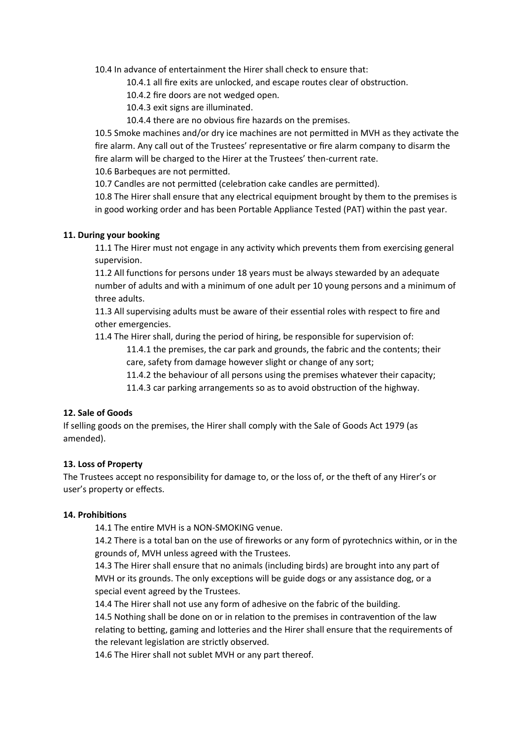10.4 In advance of entertainment the Hirer shall check to ensure that:

10.4.1 all fire exits are unlocked, and escape routes clear of obstruction.

10.4.2 fire doors are not wedged open.

10.4.3 exit signs are illuminated.

10.4.4 there are no obvious fire hazards on the premises.

10.5 Smoke machines and/or dry ice machines are not permitted in MVH as they activate the fire alarm. Any call out of the Trustees' representative or fire alarm company to disarm the fire alarm will be charged to the Hirer at the Trustees' then-current rate.

10.6 Barbeques are not permitted.

10.7 Candles are not permitted (celebration cake candles are permitted).

10.8 The Hirer shall ensure that any electrical equipment brought by them to the premises is in good working order and has been Portable Appliance Tested (PAT) within the past year.

## **11. During your booking**

11.1 The Hirer must not engage in any activity which prevents them from exercising general supervision.

11.2 All functions for persons under 18 years must be always stewarded by an adequate number of adults and with a minimum of one adult per 10 young persons and a minimum of three adults.

11.3 All supervising adults must be aware of their essential roles with respect to fire and other emergencies.

11.4 The Hirer shall, during the period of hiring, be responsible for supervision of:

11.4.1 the premises, the car park and grounds, the fabric and the contents; their care, safety from damage however slight or change of any sort;

11.4.2 the behaviour of all persons using the premises whatever their capacity;

11.4.3 car parking arrangements so as to avoid obstruction of the highway.

# **12. Sale of Goods**

If selling goods on the premises, the Hirer shall comply with the Sale of Goods Act 1979 (as amended).

# **13. Loss of Property**

The Trustees accept no responsibility for damage to, or the loss of, or the theft of any Hirer's or user's property or effects.

## **14. Prohibitions**

14.1 The entire MVH is a NON-SMOKING venue.

14.2 There is a total ban on the use of fireworks or any form of pyrotechnics within, or in the grounds of, MVH unless agreed with the Trustees.

14.3 The Hirer shall ensure that no animals (including birds) are brought into any part of MVH or its grounds. The only exceptions will be guide dogs or any assistance dog, or a special event agreed by the Trustees.

14.4 The Hirer shall not use any form of adhesive on the fabric of the building. 14.5 Nothing shall be done on or in relation to the premises in contravention of the law relating to betting, gaming and lotteries and the Hirer shall ensure that the requirements of the relevant legislation are strictly observed.

14.6 The Hirer shall not sublet MVH or any part thereof.